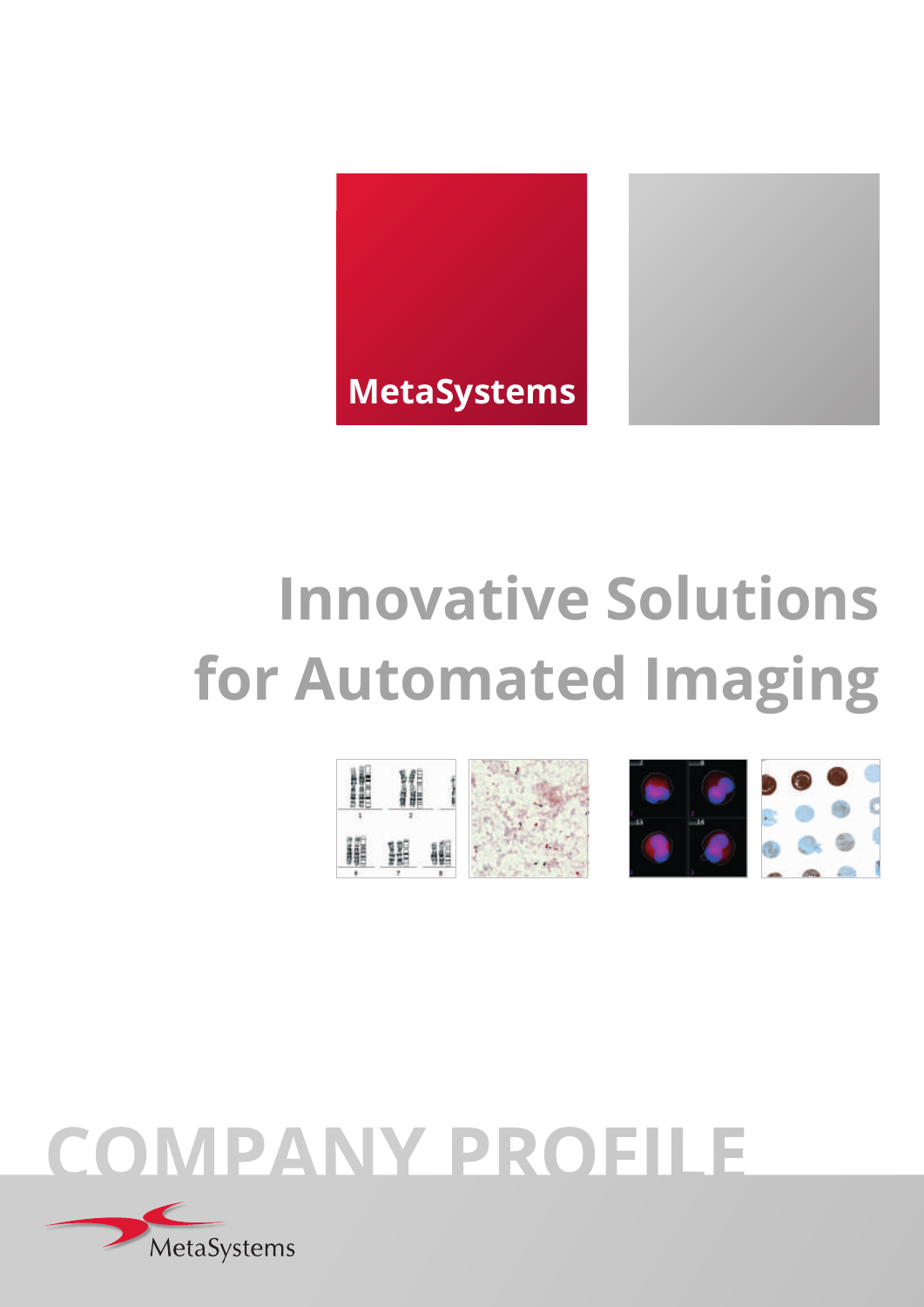



# **Innovative Solutions for Automated Imaging**



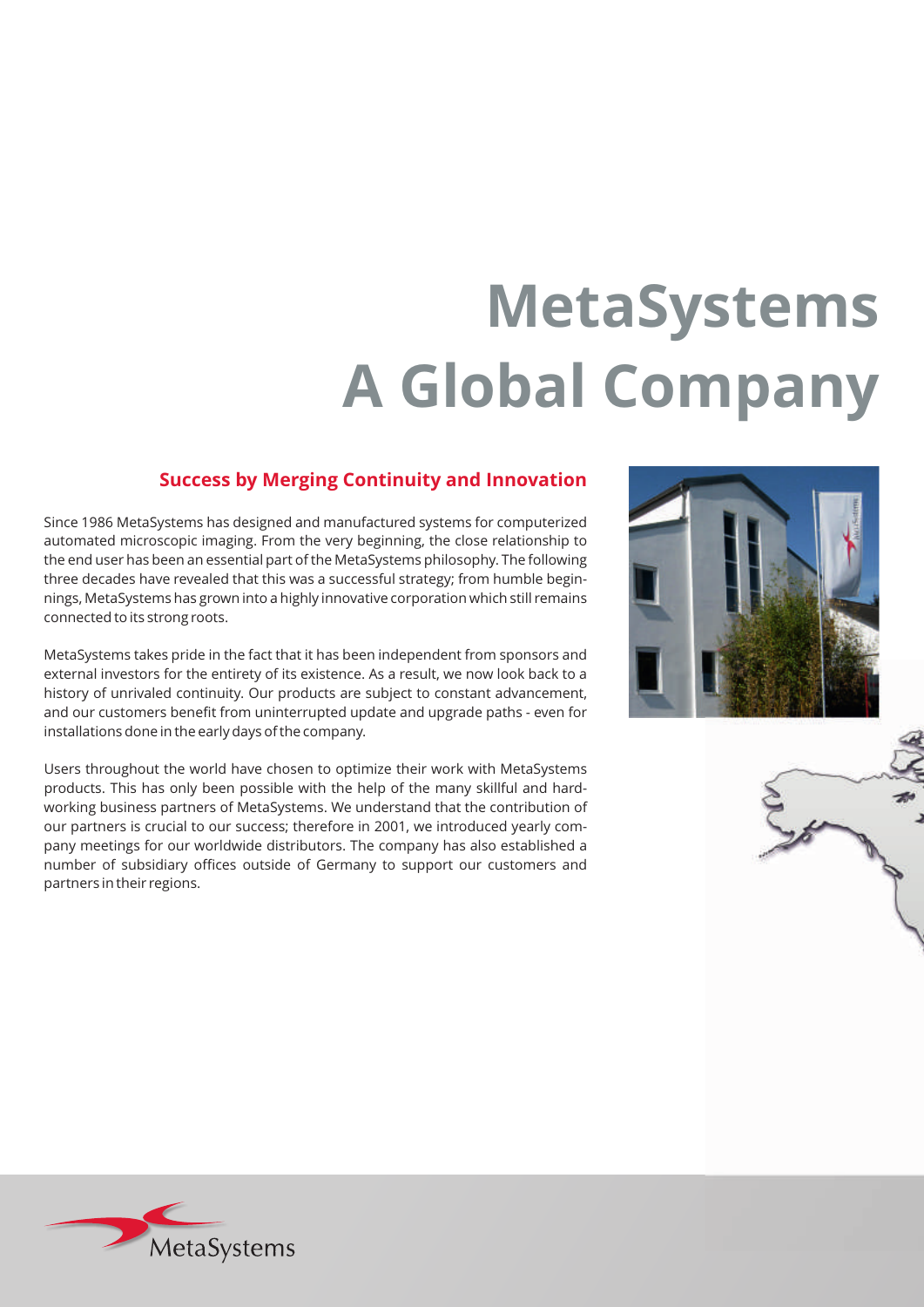# **MetaSystems A Global Company**

#### **Success by Merging Continuity and Innovation**

Since 1986 MetaSystems has designed and manufactured systems for computerized automated microscopic imaging. From the very beginning, the close relationship to the end user has been an essential part of the MetaSystems philosophy. The following three decades have revealed that this was a successful strategy; from humble beginnings, MetaSystems has grown into a highly innovative corporation which still remains connected to its strong roots.

MetaSystems takes pride in the fact that it has been independent from sponsors and external investors for the entirety of its existence. As a result, we now look back to a history of unrivaled continuity. Our products are subject to constant advancement, and our customers benefit from uninterrupted update and upgrade paths - even for installations done in the early days of the company.

Users throughout the world have chosen to optimize their work with MetaSystems products. This has only been possible with the help of the many skillful and hardworking business partners of MetaSystems. We understand that the contribution of our partners is crucial to our success; therefore in 2001, we introduced yearly company meetings for our worldwide distributors. The company has also established a number of subsidiary offices outside of Germany to support our customers and partners in their regions.





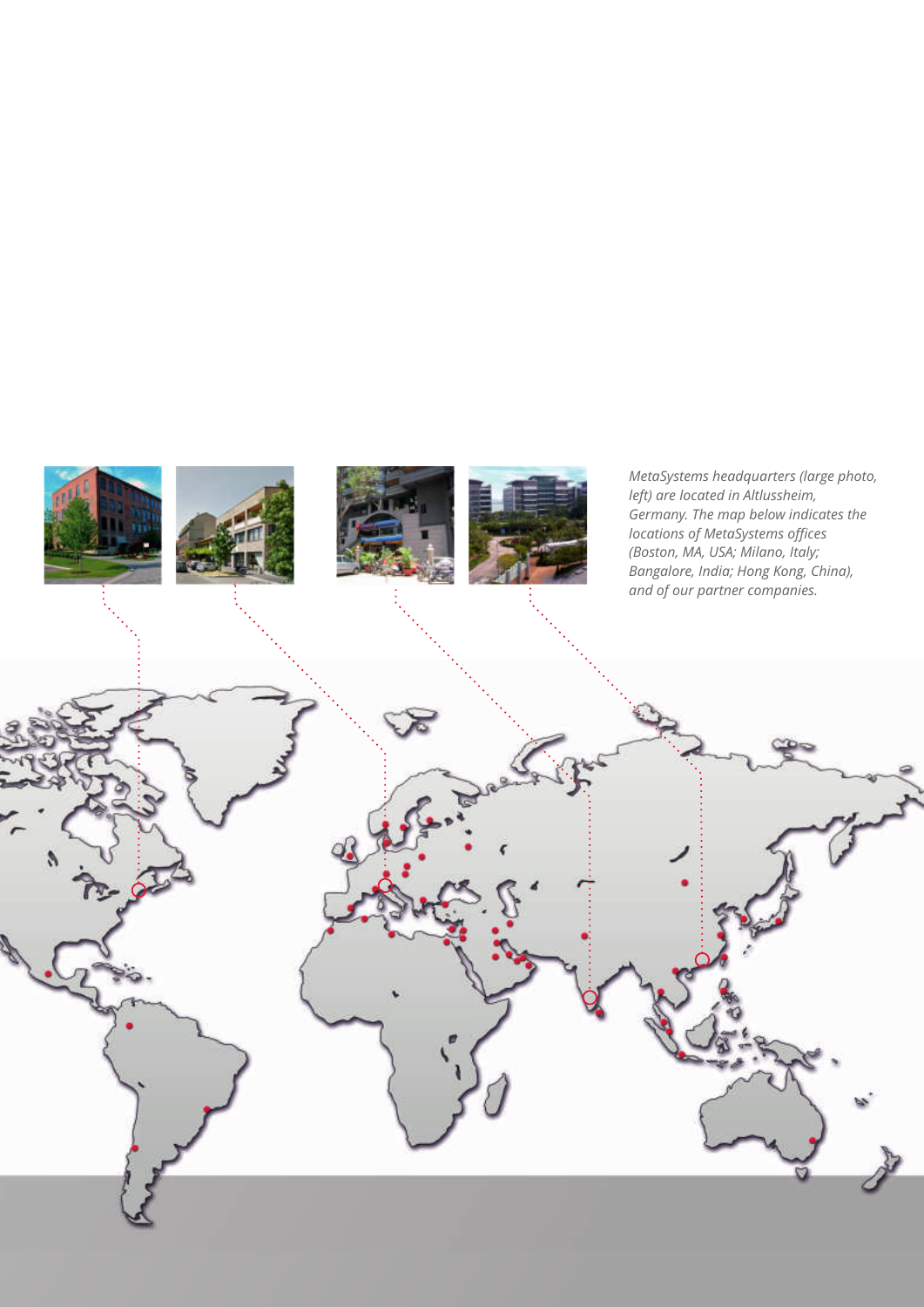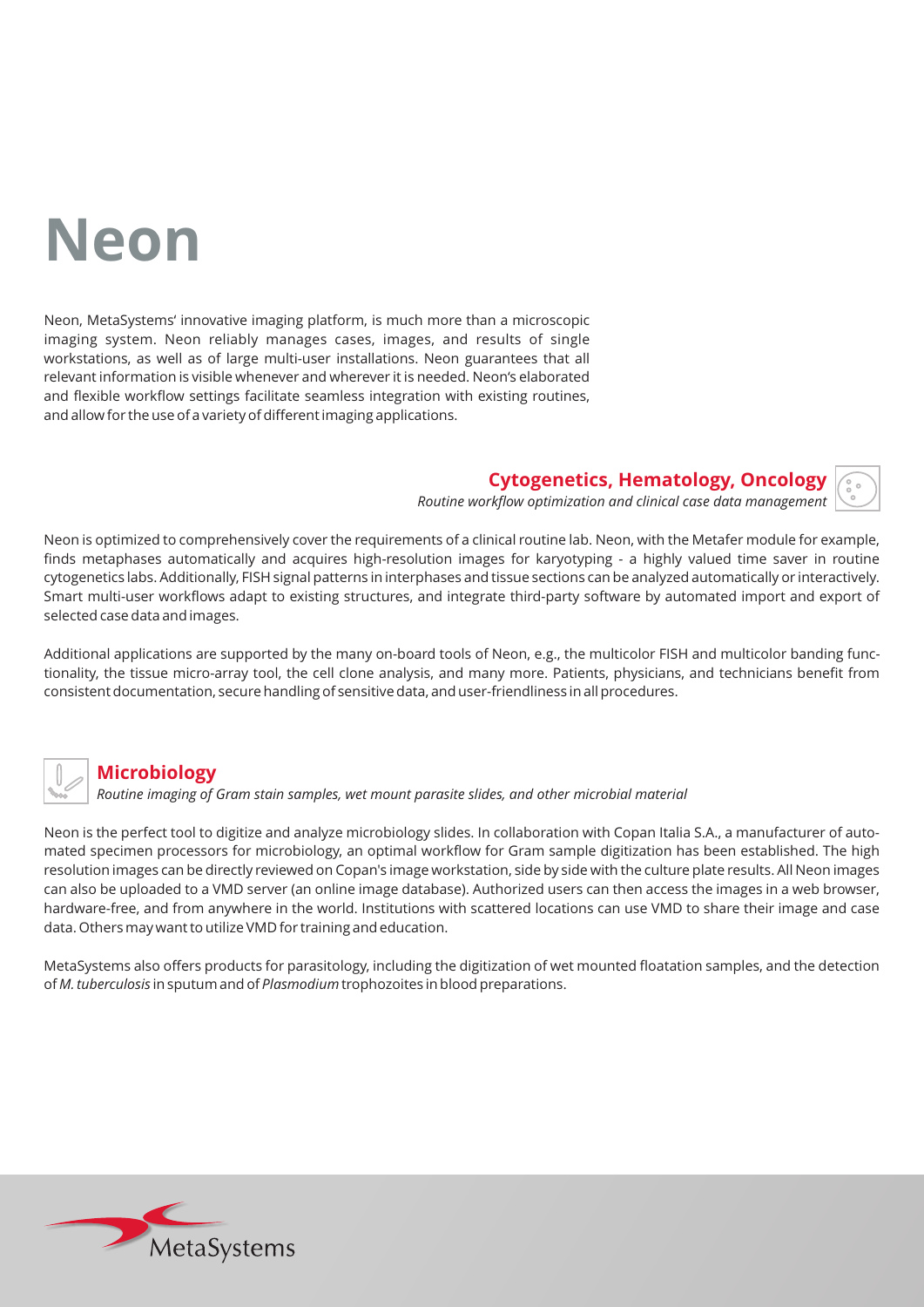## **Neon**

Neon, MetaSystems' innovative imaging platform, is much more than a microscopic imaging system. Neon reliably manages cases, images, and results of single workstations, as well as of large multi-user installations. Neon guarantees that all relevant information is visible whenever and wherever it is needed. Neon's elaborated and flexible workflow settings facilitate seamless integration with existing routines, and allow for the use of a variety of different imaging applications.

**Cytogenetics, Hematology, Oncology**

*Routine workflow optimization and clinical case data management*

Neon is optimized to comprehensively cover the requirements of a clinical routine lab. Neon, with the Metafer module for example, finds metaphases automatically and acquires high-resolution images for karyotyping - a highly valued time saver in routine cytogenetics labs. Additionally, FISH signal patterns in interphases and tissue sections can be analyzed automatically or interactively. Smart multi-user workflows adapt to existing structures, and integrate third-party software by automated import and export of selected case data and images.

Additional applications are supported by the many on-board tools of Neon, e.g., the multicolor FISH and multicolor banding functionality, the tissue micro-array tool, the cell clone analysis, and many more. Patients, physicians, and technicians benefit from consistent documentation, secure handling of sensitive data, and user-friendliness in all procedures.



#### **Microbiology**

*Routine imaging of Gram stain samples, wet mount parasite slides, and other microbial material*

Neon is the perfect tool to digitize and analyze microbiology slides. In collaboration with Copan Italia S.A., a manufacturer of automated specimen processors for microbiology, an optimal workflow for Gram sample digitization has been established. The high resolution images can be directly reviewed on Copan's image workstation, side by side with the culture plate results. All Neon images can also be uploaded to a VMD server (an online image database). Authorized users can then access the images in a web browser, hardware-free, and from anywhere in the world. Institutions with scattered locations can use VMD to share their image and case data. Others may want to utilize VMD for training and education.

MetaSystems also offers products for parasitology, including the digitization of wet mounted floatation samples, and the detection of *M. tuberculosis* in sputum and of *Plasmodium* trophozoites in blood preparations.

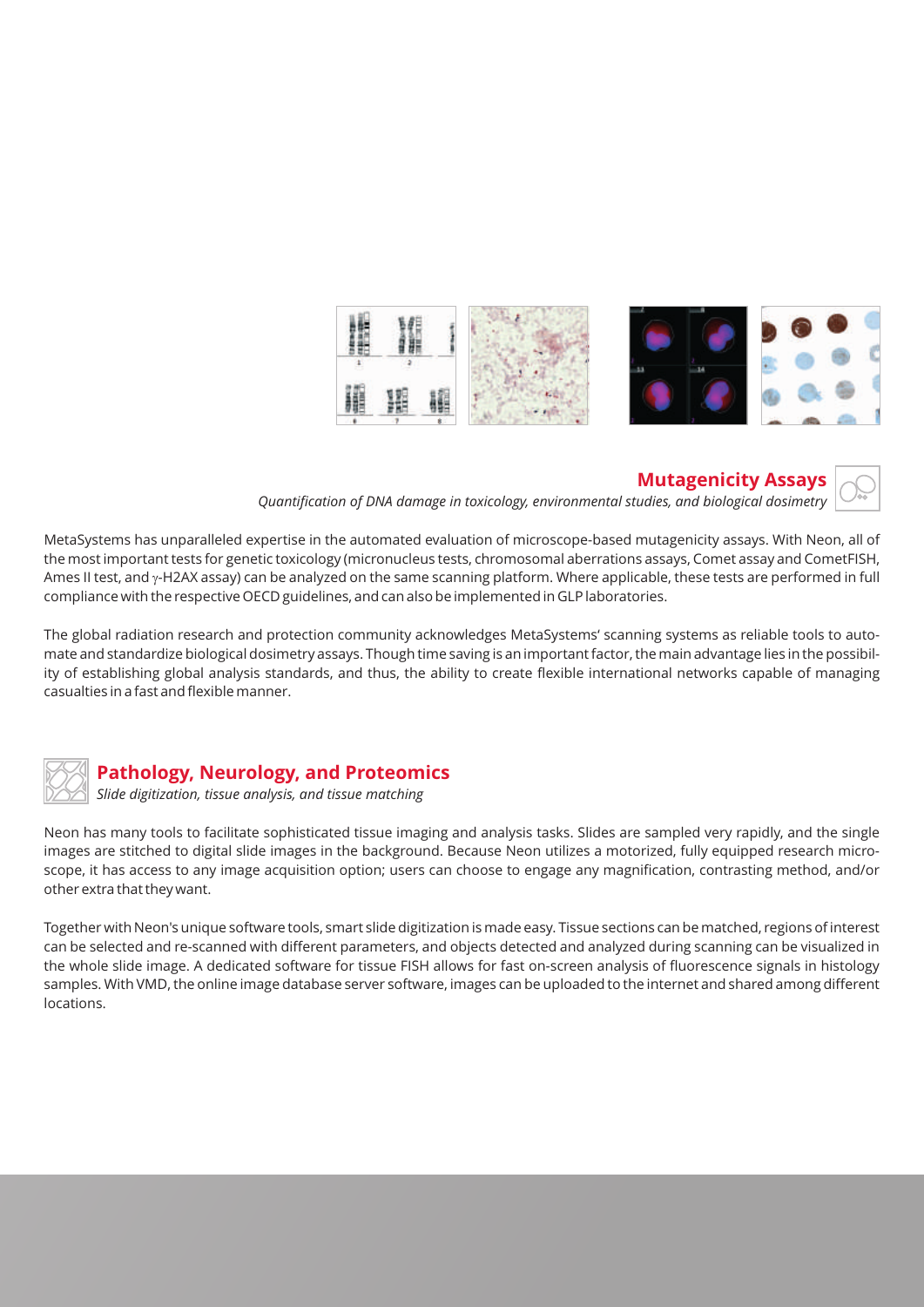



*Quantification of DNA damage in toxicology, environmental studies, and biological dosimetry*

MetaSystems has unparalleled expertise in the automated evaluation of microscope-based mutagenicity assays. With Neon, all of the most important tests for genetic toxicology (micronucleus tests, chromosomal aberrations assays, Comet assay and CometFISH, Ames II test, and y-H2AX assay) can be analyzed on the same scanning platform. Where applicable, these tests are performed in full compliance with the respective OECD guidelines, and can also be implemented in GLP laboratories.

The global radiation research and protection community acknowledges MetaSystems' scanning systems as reliable tools to automate and standardize biological dosimetry assays. Though time saving is an important factor, the main advantage lies in the possibility of establishing global analysis standards, and thus, the ability to create flexible international networks capable of managing casualties in a fast and flexible manner.



#### **Pathology, Neurology, and Proteomics**

*Slide digitization, tissue analysis, and tissue matching*

Neon has many tools to facilitate sophisticated tissue imaging and analysis tasks. Slides are sampled very rapidly, and the single images are stitched to digital slide images in the background. Because Neon utilizes a motorized, fully equipped research microscope, it has access to any image acquisition option; users can choose to engage any magnification, contrasting method, and/or other extra that they want.

Together with Neon's unique software tools, smart slide digitization is made easy. Tissue sections can be matched, regions of interest can be selected and re-scanned with different parameters, and objects detected and analyzed during scanning can be visualized in the whole slide image. A dedicated software for tissue FISH allows for fast on-screen analysis of fluorescence signals in histology samples. With VMD, the online image database server software, images can be uploaded to the internet and shared among different locations.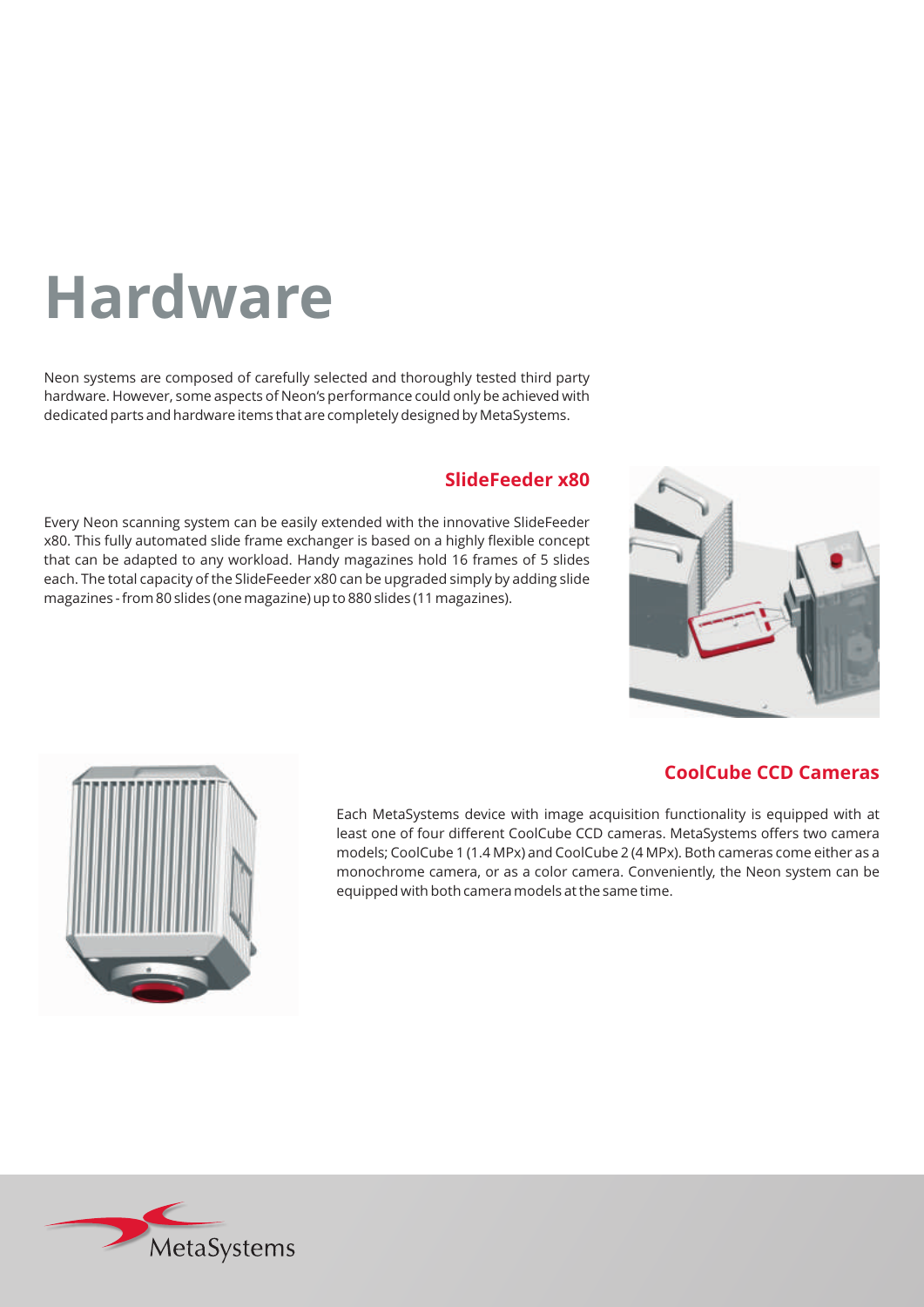## **Hardware**

Neon systems are composed of carefully selected and thoroughly tested third party hardware. However, some aspects of Neon's performance could only be achieved with dedicated parts and hardware items that are completely designed by MetaSystems.

#### **SlideFeeder x80**

Every Neon scanning system can be easily extended with the innovative SlideFeeder x80. This fully automated slide frame exchanger is based on a highly flexible concept that can be adapted to any workload. Handy magazines hold 16 frames of 5 slides each. The total capacity of the SlideFeeder x80 can be upgraded simply by adding slide magazines - from 80 slides (one magazine) up to 880 slides (11 magazines).





#### **CoolCube CCD Cameras**

Each MetaSystems device with image acquisition functionality is equipped with at least one of four different CoolCube CCD cameras. MetaSystems offers two camera models; CoolCube 1 (1.4 MPx) and CoolCube 2 (4 MPx). Both cameras come either as a monochrome camera, or as a color camera. Conveniently, the Neon system can be equipped with both camera models at the same time.

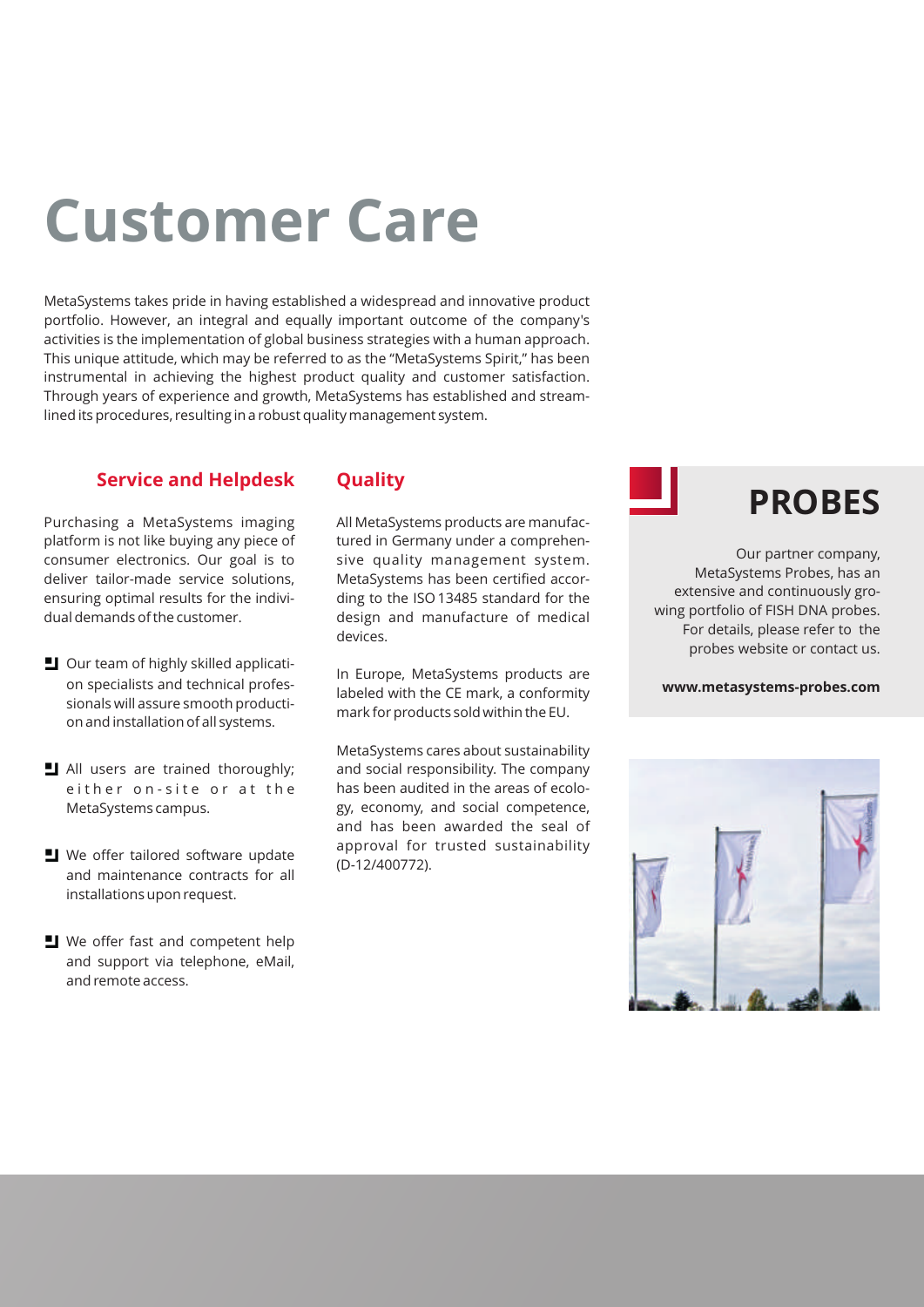## **Customer Care**

MetaSystems takes pride in having established a widespread and innovative product portfolio. However, an integral and equally important outcome of the company's activities is the implementation of global business strategies with a human approach. This unique attitude, which may be referred to as the "MetaSystems Spirit," has been instrumental in achieving the highest product quality and customer satisfaction. Through years of experience and growth, MetaSystems has established and streamlined its procedures, resulting in a robust quality management system.

#### **Service and Helpdesk**

Purchasing a MetaSystems imaging platform is not like buying any piece of consumer electronics. Our goal is to deliver tailor-made service solutions, ensuring optimal results for the individual demands of the customer.

- $\Box$  Our team of highly skilled application specialists and technical professionals will assure smooth production and installation of all systems.
- I All users are trained thoroughly; either on-site or at the MetaSystems campus.
- $\blacksquare$  We offer tailored software update and maintenance contracts for all installations upon request.
- $\blacksquare$  We offer fast and competent help and support via telephone, eMail, and remote access.

#### **Quality**

All MetaSystems products are manufactured in Germany under a comprehensive quality management system. MetaSystems has been certified according to the ISO 13485 standard for the design and manufacture of medical devices.

In Europe, MetaSystems products are labeled with the CE mark, a conformity mark for products sold within the EU.

MetaSystems cares about sustainability and social responsibility. The company has been audited in the areas of ecology, economy, and social competence, and has been awarded the seal of approval for trusted sustainability (D-12/400772).



Our partner company, MetaSystems Probes, has an extensive and continuously growing portfolio of FISH DNA probes. For details, please refer to the probes website or contact us.

**www.metasystems-probes.com**